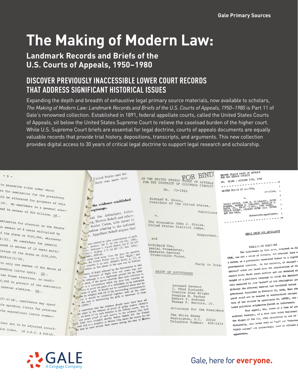# **The Making of Modern Law:**

# **Landmark Records and Briefs of the** U.S. Courts of Appeals, 1950-1980

# DISCOVER PREVIOUSLY INACCESSIBLE LOWER COURT RECORDS THAT ADDRESS SIGNIFICANT HISTORICAL ISSUES

Expanding the depth and breadth of exhaustive legal primary source materials, now available to scholars, The Making of Modern Law: Landmark Records and Briefs of the U.S. Courts of Appeals, 1950–1980 is Part 11 of Gale's renowned collection. Established in 1891, federal appellate courts, called the United States Courts of Appeals, sit below the United States Supreme Court to relieve the caseload burden of the higher court. While U.S. Supreme Court briefs are essential for legal doctrine, courts of appeals documents are equally valuable records that provide trial history, depositions, transcripts, and arguments. This new collection provides digital access to 30 years of critical legal doctrine to support legal research and scholarship.

to prescribe rules under which es for nomination for the presidency all be allocated for purposes of this (4). No candidate in a general elecend in excess of \$20 million, id.,

 $-5-$ 

omination for election to the Senate in excess of 8 cents multiplied by of the state or \$100,000, whichever 1) (C). No candidate for general spend in excess of 12 cents multilation of the state or \$150,000,  $$608(c)(1)(D)$ .

to only one member of the House of pending limits apply. Id., ther House elections, no candi-0,000 in pursuit of the nomination

general election. Id.,  $(f)$  (4) (H), candidates may spend

ple spending limits for purposes the expenditure limits enumer-

ions are to be adjusted accordice Index. 18 U.S.C.  $S$  608(d).

A Cengage Company

United States and his there was more than

#### $\overline{\phantom{a}}$ the evidence established espionage.

F hat the defendants Julius rg, Morton Sobell and others Soviet Union, with intent to mation relating to the national S. Appellant Sobell argues that

was entitled to infer consciousness of guilt<br>
v. Heitner, 149 F. 2d 105 (2d Cir., 1945),<br>
v. Heitner, 149 F. itd 810tes, 114 F. 2d 475<br>
1); Robinson v. United 810tes, 1024);<br>
12tes v. McKey, 2 F. 2d 257 (D. Nev. 1924);<br>
10

tes v. McKay, 2 F. 20 257 (D. Nev. 1924);<br>
1940), §276(4).<br>
1940), §276(4).<br>
1940), §276(4).<br>
1940 (sold states was in fact "flight," and<br>
1 judge took away from the jury the question.<br>
1 in the United States was lot (Sob

dence of flight adduced by the Government in this dence of flight adduced by the Government in this our. Evidence of flight image which is a legitimate ground inference is  $\pi$ , at though it the jures conclude that such a dence of flight adduced by the Government in this rse, it should be considered together with all the other<br>the case in determining the guilt or innocence of these<br> $\leq$  (2554)."

s (2017).<br>
a cartenion that the evidence should never have been ad-<br>
someterion that the evidence of proof of guidely motive (Sobel's<br>
is contention that the evidence that but<br>
the place in the evidence that but<br>
is we kno

IN THE UNITED STATES CORT OF APPEALS FOR THE DISTRICT OF COLUMBIA CIRCUIT No. 73-1962

> Richard M. Nixon, President of the United States,

Petitioner  $\mathbf{v}$ . The Honorable John J. Sirica,<br>United States District Judge,

Respondent,

and Archibald Cox, pecial Prosecutor, atergate Special Prosecution Force,

Party in Inter

#### BRIEF OF PETITIONER

Leonard Garment<br>J. Fred Buzhardt Charles Alan Wright Douglas M. Parker<br>Robert T. Andrews<br>Thomas P. Marinis, Jr.

Attorneys for the President

The White House Washington, D.C. 20500<br>Telephone Number: 456-1414

UNITED STATES COURT OF APPEALS<br>FOR THE SECOND CIRCUIT NO. 21538 - OCTOBER TERM, 1949 ---------------UNITED STATES OF ALLELCA, Appcllee, **TUGET DENIIS, JOHN B. YT.LIANSON, JACOB<br>STAGUELL ROBERY G. THOLPSON, DENIGALIE J.<br>DAVIS B. HERRY G. THOLPSON, DENIGATED.<br>IRVIS B. POTAST, GILBERT GRIEN CAUL TINTER<br>IRVIGUS HALL,** Defendents-Appellants. . . . . . . . . . . x

#### REPLY BRIEF FOR APPELLANTS

PRELIMINARY STATEMENT The indictment in this case, returned on Ju 1948, was not a means of invoking the oriminal laws a a hidden or a previously concealed threat to a legiti governmental interest. On the contrery, it charged a spiracy" which was based upon the organization of the munist Perty three years earlier and was returned at height of a political campaign in which the Administ felt required to tive "proof" of its ideological pur Although the Attorney General had testified before gressional Committee on February 10, 1948, that ade proof could not be secured to substantiate charges tion of the statute by appellants (R. 12775), six : later political exigencies forced an indictment.

This sppeal, too, comes at a time of gro national tensions, at a time when total diplomacy the slogen of the day, when opposition to war is disloyalty, when terms such as "apy" and "sabotes "fifth column" are increasingly used to silence I opposition.

# Gale, here for **everyone.**